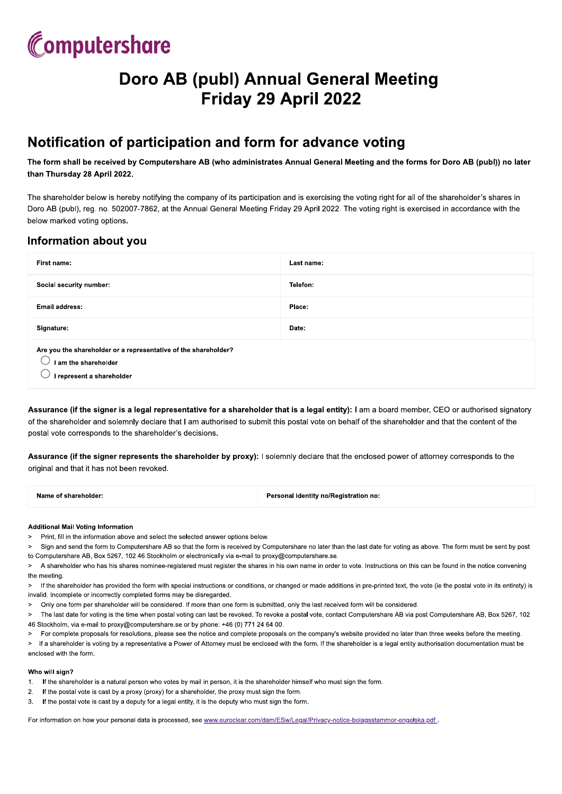## Computershare

## Doro AB (pubi) Annual General Meeting 111129 Papril 2022

### <u>Notification of participation and form for advance voting</u>

#### Information about you

| than Thursday 28 April 2022.                                                                                                                                                                                                                                                                                                                                    | The form shall be received by Computershare AB (who administrates Annual General Meeting and the forms for Doro AB (publ)) no later |  |
|-----------------------------------------------------------------------------------------------------------------------------------------------------------------------------------------------------------------------------------------------------------------------------------------------------------------------------------------------------------------|-------------------------------------------------------------------------------------------------------------------------------------|--|
| The shareholder below is hereby notifying the company of its participation and is exercising the voting right for all of the shareholder's shares in<br>Doro AB (publ), reg. no. 502007-7862, at the Annual General Meeting Friday 29 April 2022. The voting right is exercised in accordance with the<br>below marked voting options.<br>Information about you |                                                                                                                                     |  |
| First name:                                                                                                                                                                                                                                                                                                                                                     | Last name:                                                                                                                          |  |
| Social security number:                                                                                                                                                                                                                                                                                                                                         | Telefon:                                                                                                                            |  |
| <b>Email address:</b>                                                                                                                                                                                                                                                                                                                                           | Place:                                                                                                                              |  |
|                                                                                                                                                                                                                                                                                                                                                                 | Date:                                                                                                                               |  |

 ${\tt Assume}$  (it the sigher is a legal representative for a shareholder that is a legal entity): I am a board member, CEO or authorised signatory  ${\tt s}$ of the shareholder and solemnly declare that I am authorised to submit this postal vote on behalf of the shareholder and that the content of the postal vote corresponds to the shareholder's decisions.

 ${\tt Assume}$  (it the sigher represents the shareholder by proxy): I solemniy declare that the enclosed power of attorney corresponds to the original and that it has not been revoked.

| Name of shareholder: | Personal identity no/Registration no: |
|----------------------|---------------------------------------|
|                      |                                       |

#### Additional Mali voting information

- 
- 
- 
- 
- 
- 

Name of shareholder:<br>
Networks and Voting Information<br>
2. Personal identity no/Registration no:<br>
2. Personal identity no/Registration no:<br>
2. Personal identity nor<br>
2. Sign and send the form to Computershare AB so that the

#### wno will sign?

- 1. If the shareholder is a natural person who votes by mail in person, it is the shareholder himself who must sign the form.<br>2. If the postal vote is cast by a proxy (proxy) for a shareholder, the proxy must sign the form.
- 
- 

For information on how your personal data is processed, see www.euroclear.com/dam/ESw/Legal/Privacy-notice-bolagsstammor-engelska.pdf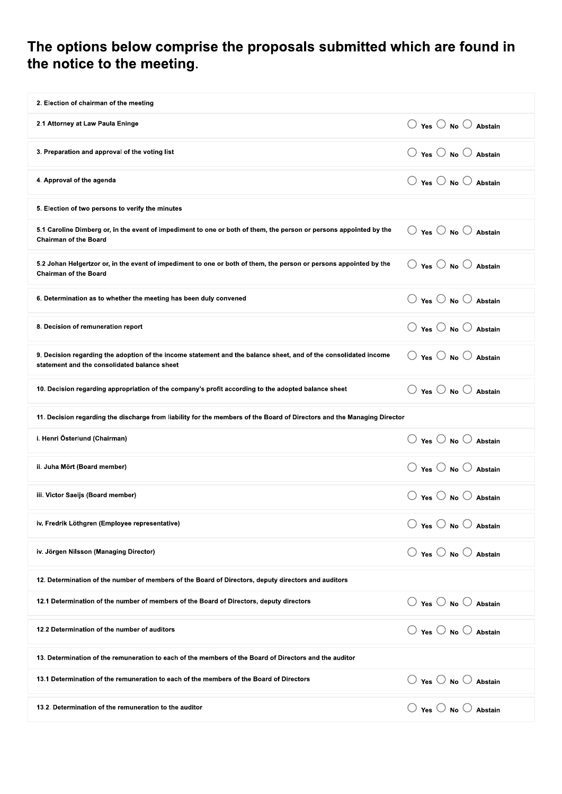# The options below comprise the proposals submitted which are found in the notice to the meeting.

| 2. Election of chairman of the meeting                                                                                                                           |                                                 |  |
|------------------------------------------------------------------------------------------------------------------------------------------------------------------|-------------------------------------------------|--|
| 2.1 Attorney at Law Paula Eninge                                                                                                                                 | $\bigcirc$ Yes $\bigcirc$ No $\bigcirc$ Abstain |  |
| 3. Preparation and approval of the voting list                                                                                                                   | $\bigcirc$ Yes $\bigcirc$ No $\bigcirc$ Abstain |  |
| 4. Approval of the agenda                                                                                                                                        | $\bigcirc$ Yes $\bigcirc$ No $\bigcirc$ Abstain |  |
| 5. Election of two persons to verify the minutes                                                                                                                 |                                                 |  |
| 5.1 Caroline Dimberg or, in the event of impediment to one or both of them, the person or persons appointed by the<br><b>Chairman of the Board</b>               | $\bigcirc$ Yes $\bigcirc$ No $\bigcirc$ Abstain |  |
| 5.2 Johan Helgertzor or, in the event of impediment to one or both of them, the person or persons appointed by the<br><b>Chairman of the Board</b>               | $\bigcirc$ Yes $\bigcirc$ No $\bigcirc$ Abstain |  |
| 6. Determination as to whether the meeting has been duly convened                                                                                                | $\bigcirc$ Yes $\bigcirc$ No $\bigcirc$ Abstain |  |
| 8. Decision of remuneration report                                                                                                                               | $\bigcirc$ Yes $\bigcirc$ No $\bigcirc$ Abstain |  |
| 9. Decision regarding the adoption of the income statement and the balance sheet, and of the consolidated income<br>statement and the consolidated balance sheet | $\bigcirc$ Yes $\bigcirc$ No $\bigcirc$ Abstain |  |
| 10. Decision regarding appropriation of the company's profit according to the adopted balance sheet                                                              | $\bigcirc$ Yes $\bigcirc$ No $\bigcirc$ Abstain |  |
| 11. Decision regarding the discharge from liability for the members of the Board of Directors and the Managing Director                                          |                                                 |  |
| i. Henri Österlund (Chairman)                                                                                                                                    | $\bigcirc$ Yes $\bigcirc$ No $\bigcirc$ Abstain |  |
| ii. Juha Mört (Board member)                                                                                                                                     | $\bigcirc$ Yes $\bigcirc$ No $\bigcirc$ Abstain |  |
|                                                                                                                                                                  |                                                 |  |
| iii. Victor Saeijs (Board member)                                                                                                                                | $\bigcirc$ Yes $\bigcirc$ No $\bigcirc$ Abstain |  |
| iv. Fredrik Löthgren (Employee representative)                                                                                                                   | $\bigcirc$ Yes $\bigcirc$ No $\bigcirc$ Abstain |  |
| iv. Jörgen Nilsson (Managing Director)                                                                                                                           | $\bigcirc$ Yes $\bigcirc$ No $\bigcirc$ Abstain |  |
| 12. Determination of the number of members of the Board of Directors, deputy directors and auditors                                                              |                                                 |  |
| 12.1 Determination of the number of members of the Board of Directors, deputy directors                                                                          | $\bigcirc$ Yes $\bigcirc$ No $\bigcirc$ Abstain |  |
| 12.2 Determination of the number of auditors                                                                                                                     | $\bigcirc$ Yes $\bigcirc$ No $\bigcirc$ Abstain |  |
| 13. Determination of the remuneration to each of the members of the Board of Directors and the auditor                                                           |                                                 |  |
| 13.1 Determination of the remuneration to each of the members of the Board of Directors                                                                          | $\bigcirc$ Yes $\bigcirc$ No $\bigcirc$ Abstain |  |